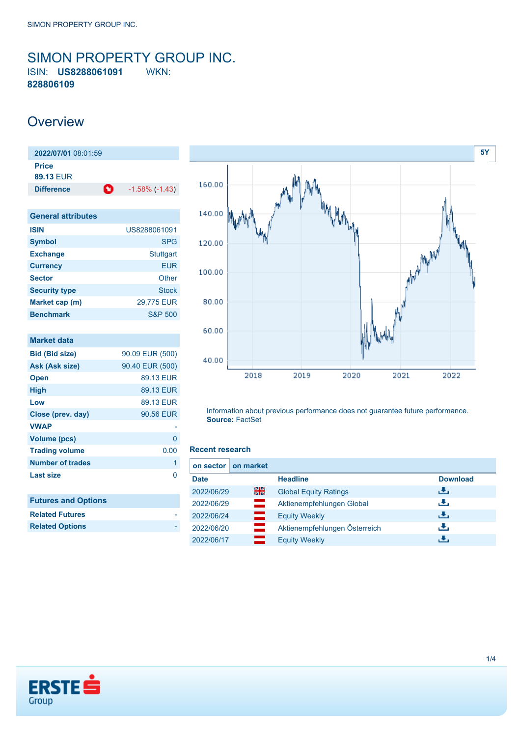## <span id="page-0-0"></span>SIMON PROPERTY GROUP INC. ISIN: **US8288061091** WKN: **828806109**

## **Overview**

| 2022/07/01 08:01:59       |   |                       |  |
|---------------------------|---|-----------------------|--|
| <b>Price</b><br>89.13 FUR |   |                       |  |
|                           |   |                       |  |
| <b>Difference</b>         | O | $-1.58\%$ ( $-1.43$ ) |  |

| <b>General attributes</b> |                  |
|---------------------------|------------------|
| <b>ISIN</b>               | US8288061091     |
| <b>Symbol</b>             | <b>SPG</b>       |
| <b>Exchange</b>           | <b>Stuttgart</b> |
| <b>Currency</b>           | FUR              |
| <b>Sector</b>             | Other            |
| <b>Security type</b>      | <b>Stock</b>     |
| Market cap (m)            | 29,775 EUR       |
| <b>Benchmark</b>          | S&P 500          |

| <b>Market data</b>         |                 |
|----------------------------|-----------------|
| <b>Bid (Bid size)</b>      | 90.09 EUR (500) |
| Ask (Ask size)             | 90.40 EUR (500) |
| <b>Open</b>                | 89.13 EUR       |
| High                       | 89.13 EUR       |
| Low                        | 89.13 EUR       |
| Close (prev. day)          | 90.56 EUR       |
| <b>VWAP</b>                |                 |
| <b>Volume (pcs)</b>        | 0               |
| <b>Trading volume</b>      | 0.00            |
| <b>Number of trades</b>    | 1               |
| <b>Last size</b>           | n               |
|                            |                 |
| <b>Futures and Options</b> |                 |
| <b>Related Futures</b>     |                 |
| <b>Related Options</b>     |                 |
|                            |                 |



Information about previous performance does not guarantee future performance. **Source:** FactSet

#### **Recent research**

| on market<br>on sector I |                               |                 |
|--------------------------|-------------------------------|-----------------|
| <b>Date</b>              | <b>Headline</b>               | <b>Download</b> |
| 을중<br>2022/06/29         | <b>Global Equity Ratings</b>  | رالى            |
| =<br>2022/06/29          | Aktienempfehlungen Global     | رنان            |
| 2022/06/24<br>═          | <b>Equity Weekly</b>          | رالى            |
| 2022/06/20               | Aktienempfehlungen Österreich | رنان            |
| 2022/06/17               | <b>Equity Weekly</b>          | æ.              |

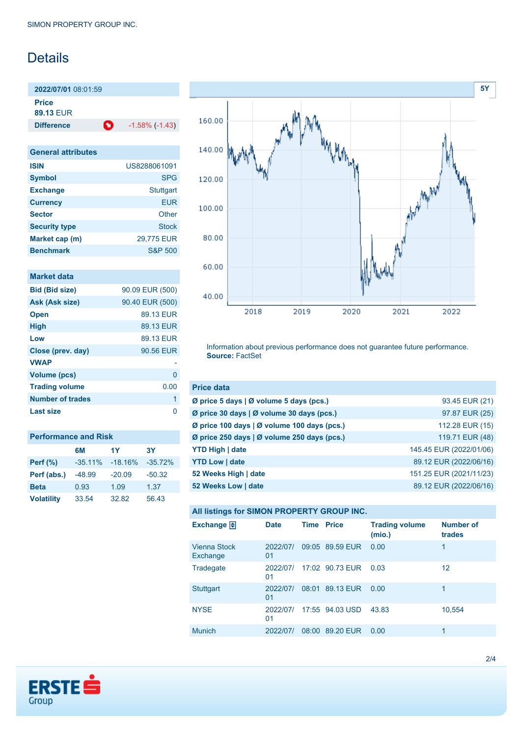# Details

**2022/07/01** 08:01:59 **Price**

**89.13** EUR

**Difference 1.58% (-1.43)** 

| <b>General attributes</b> |                    |  |
|---------------------------|--------------------|--|
| <b>ISIN</b>               | US8288061091       |  |
| <b>Symbol</b>             | <b>SPG</b>         |  |
| <b>Exchange</b>           | <b>Stuttgart</b>   |  |
| <b>Currency</b>           | <b>EUR</b>         |  |
| <b>Sector</b>             | Other              |  |
| <b>Security type</b>      | Stock              |  |
| Market cap (m)            | 29,775 EUR         |  |
| <b>Benchmark</b>          | <b>S&amp;P 500</b> |  |

| <b>Market data</b>      |                 |
|-------------------------|-----------------|
| <b>Bid (Bid size)</b>   | 90.09 EUR (500) |
| Ask (Ask size)          | 90.40 EUR (500) |
| <b>Open</b>             | 89.13 EUR       |
| <b>High</b>             | 89.13 EUR       |
| Low                     | 89.13 EUR       |
| Close (prev. day)       | 90.56 EUR       |
| <b>VWAP</b>             |                 |
| Volume (pcs)            | 0               |
| <b>Trading volume</b>   | 0.00            |
| <b>Number of trades</b> | 1               |
| <b>Last size</b>        | 0               |
|                         |                 |

| <b>Performance and Risk</b> |           |           |           |  |
|-----------------------------|-----------|-----------|-----------|--|
|                             | 6M        | 1Y        | 3Υ        |  |
| <b>Perf</b> (%)             | $-35.11%$ | $-18.16%$ | $-35.72%$ |  |
| Perf (abs.)                 | $-48.99$  | $-20.09$  | $-50.32$  |  |
| <b>Beta</b>                 | 0.93      | 1.09      | 1.37      |  |
| <b>Volatility</b>           | 33.54     | 32.82     | 56.43     |  |



Information about previous performance does not guarantee future performance. **Source:** FactSet

| <b>Price data</b>                           |                         |
|---------------------------------------------|-------------------------|
| Ø price 5 days   Ø volume 5 days (pcs.)     | 93.45 EUR (21)          |
| Ø price 30 days   Ø volume 30 days (pcs.)   | 97.87 EUR (25)          |
| Ø price 100 days   Ø volume 100 days (pcs.) | 112.28 EUR (15)         |
| Ø price 250 days   Ø volume 250 days (pcs.) | 119.71 EUR (48)         |
| <b>YTD High   date</b>                      | 145.45 EUR (2022/01/06) |
| <b>YTD Low   date</b>                       | 89.12 EUR (2022/06/16)  |
| 52 Weeks High   date                        | 151.25 EUR (2021/11/23) |
| 52 Weeks Low   date                         | 89.12 EUR (2022/06/16)  |

### **All listings for SIMON PROPERTY GROUP INC.**

| Exchange $\Box$                 | <b>Date</b>    | <b>Time Price</b> |                 | <b>Trading volume</b><br>(mio.) | <b>Number of</b><br>trades |
|---------------------------------|----------------|-------------------|-----------------|---------------------------------|----------------------------|
| <b>Vienna Stock</b><br>Exchange | 2022/07/<br>01 |                   | 09:05 89.59 EUR | 0.00                            | 1                          |
| Tradegate                       | 2022/07/<br>01 |                   | 17:02 90.73 EUR | 0.03                            | 12                         |
| <b>Stuttgart</b>                | 2022/07/<br>01 |                   | 08:01 89.13 EUR | 0.00                            | 1                          |
| <b>NYSE</b>                     | 2022/07/<br>01 |                   | 17:55 94.03 USD | 43.83                           | 10,554                     |
| <b>Munich</b>                   | 2022/07/       | 08:00             | 89.20 EUR       | 0.00                            | 1                          |

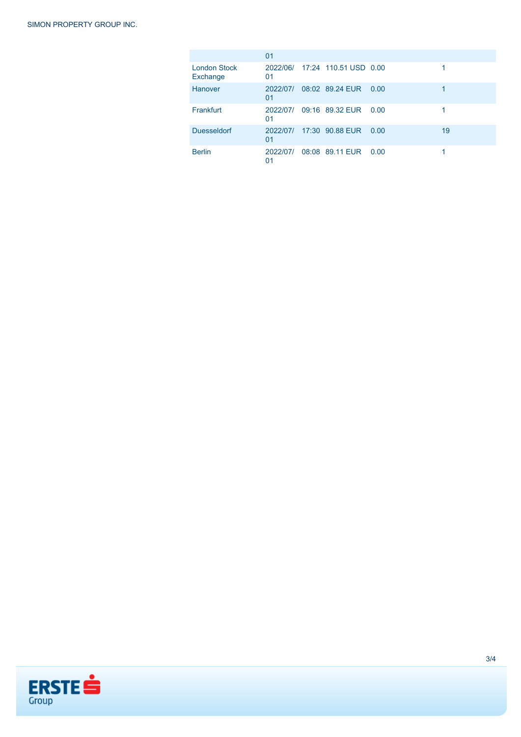|                                 | 01             |                                |      |    |
|---------------------------------|----------------|--------------------------------|------|----|
| <b>London Stock</b><br>Exchange | 01             | 2022/06/ 17:24 110.51 USD 0.00 |      |    |
| Hanover                         | 2022/07/<br>01 | 08:02 89.24 EUR                | 0.00 |    |
| Frankfurt                       | 2022/07/<br>01 | 09:16 89.32 EUR                | 0.00 |    |
| <b>Duesseldorf</b>              | 2022/07/<br>01 | 17:30 90.88 EUR                | 0.00 | 19 |
| <b>Berlin</b>                   | 2022/07/<br>01 | 08:08 89.11 EUR 0.00           |      |    |